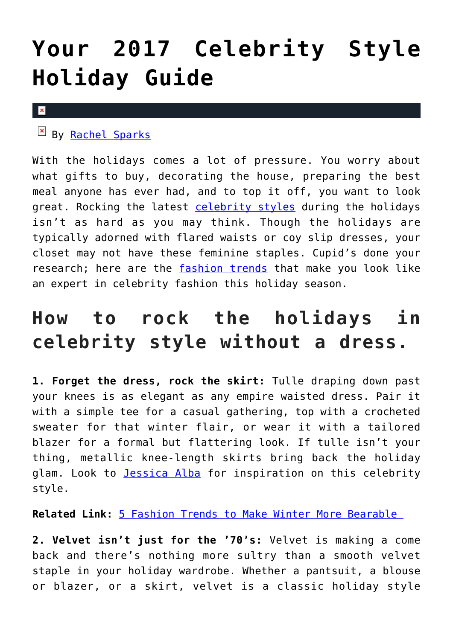## **[Your 2017 Celebrity Style](https://cupidspulse.com/121575/2017-celebrity-style-holiday-guide/) [Holiday Guide](https://cupidspulse.com/121575/2017-celebrity-style-holiday-guide/)**

## $\vert \mathbf{x} \vert$

By [Rachel Sparks](http://cupidspulse.com/121112/rachel-sparks/)

With the holidays comes a lot of pressure. You worry about what gifts to buy, decorating the house, preparing the best meal anyone has ever had, and to top it off, you want to look great. Rocking the latest [celebrity styles](http://cupidspulse.com/?s=celebrity+style) during the holidays isn't as hard as you may think. Though the holidays are typically adorned with flared waists or coy slip dresses, your closet may not have these feminine staples. Cupid's done your research; here are the [fashion trends](http://cupidspulse.com/fashion/) that make you look like an expert in celebrity fashion this holiday season.

## **How to rock the holidays in celebrity style without a dress.**

**1. Forget the dress, rock the skirt:** Tulle draping down past your knees is as elegant as any empire waisted dress. Pair it with a simple tee for a casual gathering, top with a crocheted sweater for that winter flair, or wear it with a tailored blazer for a formal but flattering look. If tulle isn't your thing, metallic knee-length skirts bring back the holiday glam. Look to [Jessica Alba](http://cupidspulse.com/89557/jessica-alba/) for inspiration on this celebrity style.

**Related Link:** [5 Fashion Trends to Make Winter More Bearable](http://cupidspulse.com/116147/fashion-trends-make-winter-bearable/) 

**2. Velvet isn't just for the '70's:** Velvet is making a come back and there's nothing more sultry than a smooth velvet staple in your holiday wardrobe. Whether a pantsuit, a blouse or blazer, or a skirt, velvet is a classic holiday style